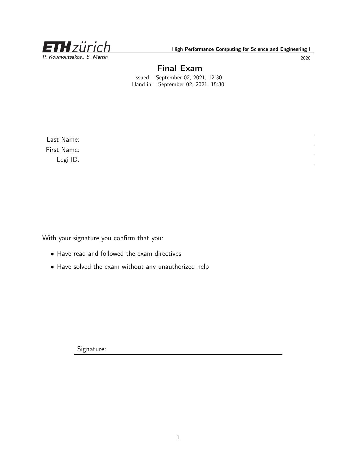<span id="page-0-0"></span>

## Final Exam

Issued: September 02, 2021, 12:30 Hand in: September 02, 2021, 15:30

| Last Name:  |  |
|-------------|--|
| First Name: |  |
| Legi ID:    |  |

With your signature you confirm that you:

- Have read and followed the exam directives
- Have solved the exam without any unauthorized help

Signature: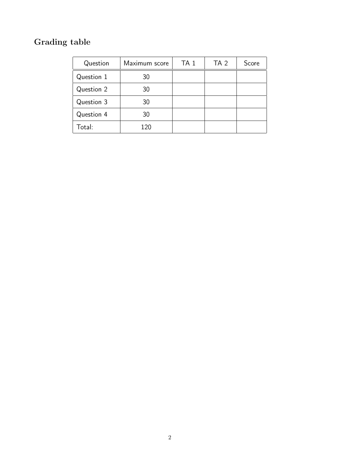# Grading table

| Question   | Maximum score | TA <sub>1</sub> | TA <sub>2</sub> | Score |
|------------|---------------|-----------------|-----------------|-------|
| Question 1 | 30            |                 |                 |       |
| Question 2 | 30            |                 |                 |       |
| Question 3 | 30            |                 |                 |       |
| Question 4 | 30            |                 |                 |       |
| Total:     | 120           |                 |                 |       |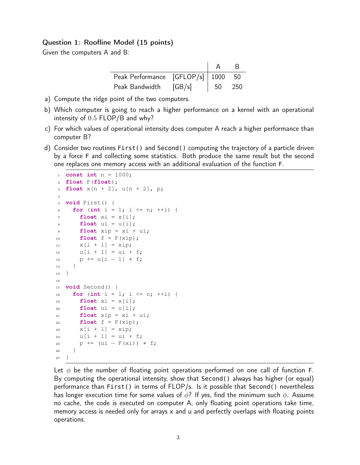#### Question 1: Roofline Model (15 points)

Given the computers A and B:

| Peak Performance [GFLOP/s]   1000 50 |  |      |
|--------------------------------------|--|------|
| Peak Bandwidth $[GB/s]$   50         |  | -250 |

- a) Compute the ridge point of the two computers.
- b) Which computer is going to reach a higher performance on a kernel with an operational intensity of 0.5 FLOP/B and why?
- c) For which values of operational intensity does computer A reach a higher performance than computer B?
- d) Consider two routines First() and Second() computing the trajectory of a particle driven by a force F and collecting some statistics. Both produce the same result but the second one replaces one memory access with an additional evaluation of the function F.

```
1 const int n = 1000;
2 float F(float);
3 float x[n + 2], u[n + 2], p;
4
5 void First() {
6 for (int i = 1; i <= n; ++i) {
\mathbf{r} float xi = x[i];
s float ui = u[i];9 float xip = xi + ui;10 float f = F(xip);
11 X[i + 1] = xip;12 u[i + 1] = u[i + f;13 p += u[i - 1] * f;
14 }
15 }
16
17 void Second() {
18 for (int i = 1; i <= n; ++i) {
19 float xi = x[i];
20 float ui = u[i];
21 float xip = xi + ui;f22 float f = F(xip);
23 x[i + 1] = xip;24 u[i + 1] = u[i + f;25 p += (ui – F(xi)) * f;
26 }
27 }
```
Let  $\phi$  be the number of floating point operations performed on one call of function F. By computing the operational intensity, show that Second() always has higher (or equal) performance than First() in terms of FLOP/s. Is it possible that Second() nevertheless has longer execution time for some values of  $\phi$ ? If yes, find the minimum such  $\phi$ . Assume no cache, the code is executed on computer A, only floating point operations take time, memory access is needed only for arrays x and u and perfectly overlaps with floating points operations.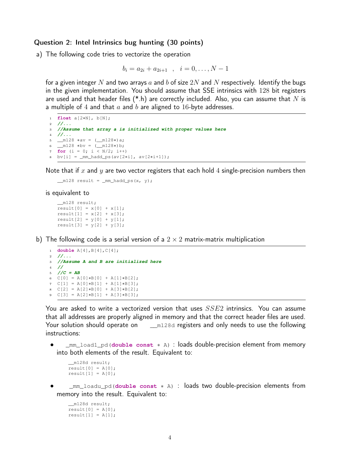#### Question 2: Intel Intrinsics bug hunting (30 points)

a) The following code tries to vectorize the operation

$$
b_i = a_{2i} + a_{2i+1} \quad , \quad i = 0, \dots, N-1
$$

for a given integer N and two arrays  $a$  and  $b$  of size  $2N$  and  $N$  respectively. Identify the bugs in the given implementation. You should assume that SSE intrinsics with 128 bit registers are used and that header files  $(*h)$  are correctly included. Also, you can assume that N is a multiple of 4 and that  $a$  and  $b$  are aligned to 16-byte addresses.

```
1 float a[2∗N], b[N];
2 //...
3 //Assume that array a is initialized with proper values here
4 //...
5 __m128 ∗av = (__m128∗)a;
6 _m128 * bv = (m128*)b;7 for (i = 0; i < N/2; i++)
8 bv[i] = _mm_hadd_ps(av[2∗i], av[2∗i+1]);
```
Note that if x and y are two vector registers that each hold 4 single-precision numbers then

```
ml28 result = mm\_hadd\_ps(x, y);
```
#### is equivalent to

```
__m128 result;
result[0] = x[0] + x[1];result[1] = x[2] + x[3];result[2] = y[0] + y[1];result[3] = y[2] + y[3];
```
b) The following code is a serial version of a  $2 \times 2$  matrix-matrix multiplication

```
1 double A[4],B[4],C[4];
2 //...
3 //Assume A and B are initialized here
4 //
5 / /C = AB6 C[0] = A[0]∗B[0] + A[1]∗B[2];
7 \text{ C}[1] = A[0]*B[1] + A[1]*B[3];8 C[2] = A[2]∗B[0] + A[3]∗B[2];
9 C[3] = A[2]∗B[1] + A[3]∗B[3];
```
You are asked to write a vectorized version that uses  $SSE2$  intrinsics. You can assume that all addresses are properly aligned in memory and that the correct header files are used. Your solution should operate on  $\mu_{m128d}$  registers and only needs to use the following instructions:

• \_mm\_load1\_pd(**double const** ∗ A) : loads double-precision element from memory into both elements of the result. Equivalent to:

```
__m128d result;
result[0] = A[0];result[1] = A[0];
```
• \_mm\_loadu\_pd(**double const** ∗ A) : loads two double-precision elements from memory into the result. Equivalent to:

```
__m128d result;
result[0] = A[0];result[1] = A[1];
```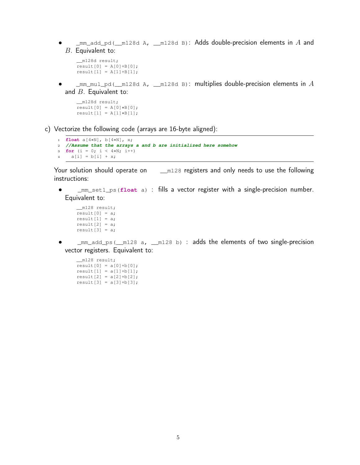•  $\Box$ mm\_add\_pd( $\Box$ m128d A,  $\Box$ m128d B): Adds double-precision elements in A and B. Equivalent to:

```
__m128d result;
result[0] = A[0] + B[0];result[1] = A[1] + B[1];
```
 $\text{mm\_mul\_pd}$  ( $\text{m128d A}$ ,  $\text{m128d B}$ : multiplies double-precision elements in  $A$ and  $B$ . Equivalent to:

```
__m128d result;
result[0] = A[0]*B[0];result[1] = A[1]*B[1];
```
c) Vectorize the following code (arrays are 16-byte aligned):

```
1 float a[4∗N], b[4∗N], x;
2 //Assume that the arrays a and b are initialized here somehow
3 for (i = 0; i < 4∗N; i++)
4 a[i] = b[i] + x;
```
Your solution should operate on  $\mu_{m128}$  registers and only needs to use the following instructions:

• \_mm\_set1\_ps(**float** a) : fills a vector register with a single-precision number. Equivalent to:

```
__m128 result;
result[0] = a;result[1] = a;result[2] = a;result[3] = a;
```
• \_mm\_add\_ps(\_\_m128 a, \_\_m128 b) : adds the elements of two single-precision vector registers. Equivalent to:

```
__m128 result;
result[0] = a[0]+b[0];result[1] = a[1]+b[1];result[2] = a[2]+b[2];result[3] = a[3]+b[3];
```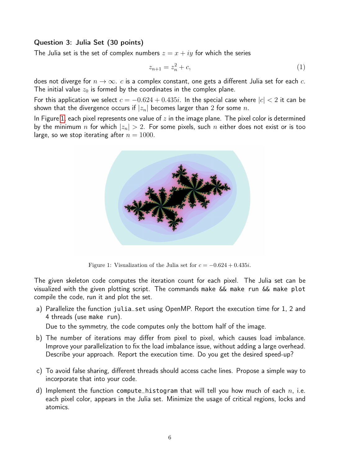### Question 3: Julia Set (30 points)

The Julia set is the set of complex numbers  $z = x + iy$  for which the series

$$
z_{n+1} = z_n^2 + c,\t\t(1)
$$

does not diverge for  $n \to \infty$ . c is a complex constant, one gets a different Julia set for each c. The initial value  $z_0$  is formed by the coordinates in the complex plane.

For this application we select  $c = -0.624 + 0.435i$ . In the special case where  $|c| < 2$  it can be shown that the divergence occurs if  $|z_n|$  becomes larger than 2 for some n.

<span id="page-5-0"></span>In Figure [1,](#page-5-0) each pixel represents one value of  $z$  in the image plane. The pixel color is determined by the minimum n for which  $|z_n| > 2$ . For some pixels, such n either does not exist or is too large, so we stop iterating after  $n = 1000$ .



Figure 1: Visualization of the Julia set for  $c = -0.624 + 0.435i$ .

The given skeleton code computes the iteration count for each pixel. The Julia set can be visualized with the given plotting script. The commands make && make run && make plot compile the code, run it and plot the set.

a) Parallelize the function julia\_set using OpenMP. Report the execution time for 1, 2 and 4 threads (use make run).

Due to the symmetry, the code computes only the bottom half of the image.

- b) The number of iterations may differ from pixel to pixel, which causes load imbalance. Improve your parallelization to fix the load imbalance issue, without adding a large overhead. Describe your approach. Report the execution time. Do you get the desired speed-up?
- c) To avoid false sharing, different threads should access cache lines. Propose a simple way to incorporate that into your code.
- d) Implement the function compute histogram that will tell you how much of each  $n$ , i.e. each pixel color, appears in the Julia set. Minimize the usage of critical regions, locks and atomics.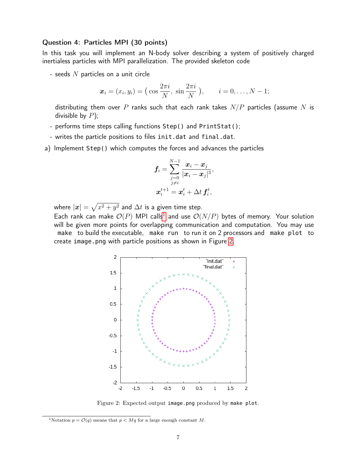#### Question 4: Particles MPI (30 points)

In this task you will implement an N-body solver describing a system of positively charged inertialess particles with MPI parallelization. The provided skeleton code

- seeds  $N$  particles on a unit circle

$$
\boldsymbol{x}_i = (x_i, y_i) = \left(\cos \frac{2\pi i}{N}, \sin \frac{2\pi i}{N}\right), \quad i = 0, \dots, N-1;
$$

distributing them over P ranks such that each rank takes  $N/P$  particles (assume N is divisible by  $P$ );

- performs time steps calling functions Step() and PrintStat();
- writes the particle positions to files init.dat and final.dat.
- a) Implement Step() which computes the forces and advances the particles

$$
\boldsymbol{f}_i = \sum_{\substack{j=0 \\ j \neq i}}^{N-1} \frac{\boldsymbol{x}_i - \boldsymbol{x}_j}{|\boldsymbol{x}_i - \boldsymbol{x}_j|^3}, \\ \boldsymbol{x}_i^{t+1} = \boldsymbol{x}_i^{t} + \Delta t \, \boldsymbol{f}_i^{t},
$$

where  $|\bm{x}| = \sqrt{x^2 + y^2}$  and  $\Delta t$  is a given time step.

<span id="page-6-0"></span>Each rank can make  $\mathcal{O}(P)$  MPI calls<sup>[1](#page-0-0)</sup> and use  $\mathcal{O}(N/P)$  bytes of memory. Your solution will be given more points for overlapping communication and computation. You may use make to build the executable, make run to run it on 2 processors and make plot to create image.png with particle positions as shown in Figure [2.](#page-6-0)



Figure 2: Expected output image.png produced by make plot.

<sup>&</sup>lt;sup>1</sup>Notation  $p = \mathcal{O}(q)$  means that  $p < Mq$  for a large enough constant M.